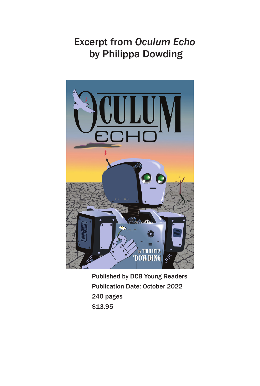## Excerpt from *Oculum Echo* by Philippa Dowding



Published by DCB Young Readers Publication Date: October 2022 240 pages \$13.95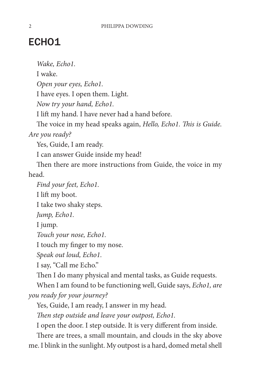## ECHO1

*Wake, Echo1.*

I wake. *Open your eyes, Echo1.* I have eyes. I open them. Light. *Now try your hand, Echo1.* I lift my hand. I have never had a hand before. The voice in my head speaks again, *Hello, Echo1. This is Guide. Are you ready?* Yes, Guide, I am ready. I can answer Guide inside my head! Then there are more instructions from Guide, the voice in my head. *Find your feet, Echo1.* I lift my boot. I take two shaky steps. *Jump, Echo1.* I jump. *Touch your nose, Echo1.* I touch my finger to my nose. *Speak out loud, Echo1.* I say, "Call me Echo." Then I do many physical and mental tasks, as Guide requests. When I am found to be functioning well, Guide says, *Echo1, are you ready for your journey?* Yes, Guide, I am ready, I answer in my head. *Then step outside and leave your outpost, Echo1.* I open the door. I step outside. It is very different from inside. There are trees, a small mountain, and clouds in the sky above me. I blink in the sunlight. My outpost is a hard, domed metal shell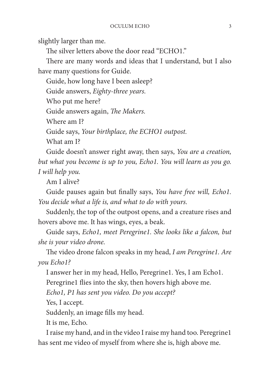slightly larger than me.

The silver letters above the door read "ECHO1"

There are many words and ideas that I understand, but I also have many questions for Guide.

Guide, how long have I been asleep? Guide answers, *Eighty-three years.* Who put me here? Guide answers again, *The Makers.* Where am I? Guide says, *Your birthplace, the ECHO1 outpost.* What am I?

Guide doesn't answer right away, then says, *You are a creation, but what you become is up to you, Echo1. You will learn as you go. I will help you.*

Am I alive?

Guide pauses again but finally says, *You have free will, Echo1. You decide what a life is, and what to do with yours.*

Suddenly, the top of the outpost opens, and a creature rises and hovers above me. It has wings, eyes, a beak.

Guide says, *Echo1, meet Peregrine1. She looks like a falcon, but she is your video drone.*

The video drone falcon speaks in my head, *I am Peregrine1. Are you Echo1?*

I answer her in my head, Hello, Peregrine1. Yes, I am Echo1. Peregrine1 flies into the sky, then hovers high above me.

*Echo1, P1 has sent you video. Do you accept?*

Yes, I accept.

Suddenly, an image fills my head.

It is me, Echo.

I raise my hand, and in the video I raise my hand too. Peregrine1 has sent me video of myself from where she is, high above me.